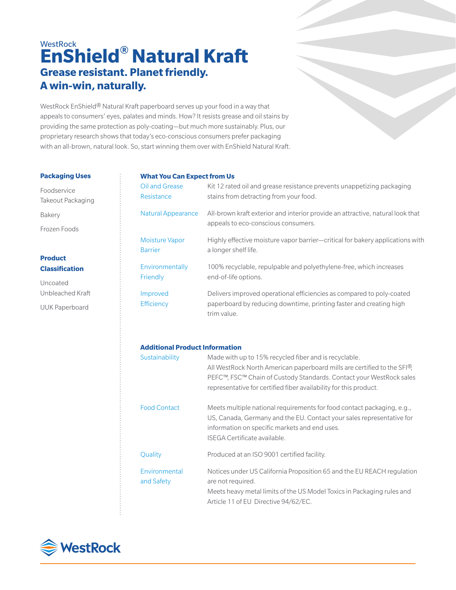# **WestRock EnShield® Natural Kraft Grease resistant. Planet friendly. A win-win, naturally.**

WestRock EnShield® Natural Kraft paperboard serves up your food in a way that appeals to consumers' eyes, palates and minds. How? It resists grease and oil stains by providing the same protection as poly-coating—but much more sustainably. Plus, our proprietary research shows that today's eco-conscious consumers prefer packaging with an all-brown, natural look. So, start winning them over with EnShield Natural Kraft.

### **Packaging Uses**

Foodservice Takeout Packaging Bakery Frozen Foods

# **Product Classification**

Uncoated Unbleached Kraft

UUK Paperboard

# **What You Can Expect from Us**

| Oil and Grease            | Kit 12 rated oil and grease resistance prevents unappetizing packaging                                                                                     |
|---------------------------|------------------------------------------------------------------------------------------------------------------------------------------------------------|
| Resistance                | stains from detracting from your food.                                                                                                                     |
| <b>Natural Appearance</b> | All-brown kraft exterior and interior provide an attractive, natural look that<br>appeals to eco-conscious consumers.                                      |
| <b>Moisture Vapor</b>     | Highly effective moisture vapor barrier—critical for bakery applications with                                                                              |
| <b>Barrier</b>            | a longer shelf life.                                                                                                                                       |
| Environmentally           | 100% recyclable, repulpable and polyethylene-free, which increases                                                                                         |
| Friendly                  | end-of-life options.                                                                                                                                       |
| Improved<br>Efficiency    | Delivers improved operational efficiencies as compared to poly-coated<br>paperboard by reducing downtime, printing faster and creating high<br>trim value. |

## **Additional Product Information**

| Sustainability              | Made with up to 15% recycled fiber and is recyclable.<br>All WestRock North American paperboard mills are certified to the SFI <sup>®</sup> ,<br>PEFC™, FSC™ Chain of Custody Standards. Contact your WestRock sales<br>representative for certified fiber availability for this product. |
|-----------------------------|-------------------------------------------------------------------------------------------------------------------------------------------------------------------------------------------------------------------------------------------------------------------------------------------|
| <b>Food Contact</b>         | Meets multiple national requirements for food contact packaging, e.g.,<br>US, Canada, Germany and the EU. Contact your sales representative for<br>information on specific markets and end uses.<br>ISEGA Certificate available.                                                          |
| Quality                     | Produced at an ISO 9001 certified facility.                                                                                                                                                                                                                                               |
| Environmental<br>and Safety | Notices under US California Proposition 65 and the EU REACH regulation<br>are not required.<br>Meets heavy metal limits of the US Model Toxics in Packaging rules and<br>Article 11 of EU Directive 94/62/EC.                                                                             |